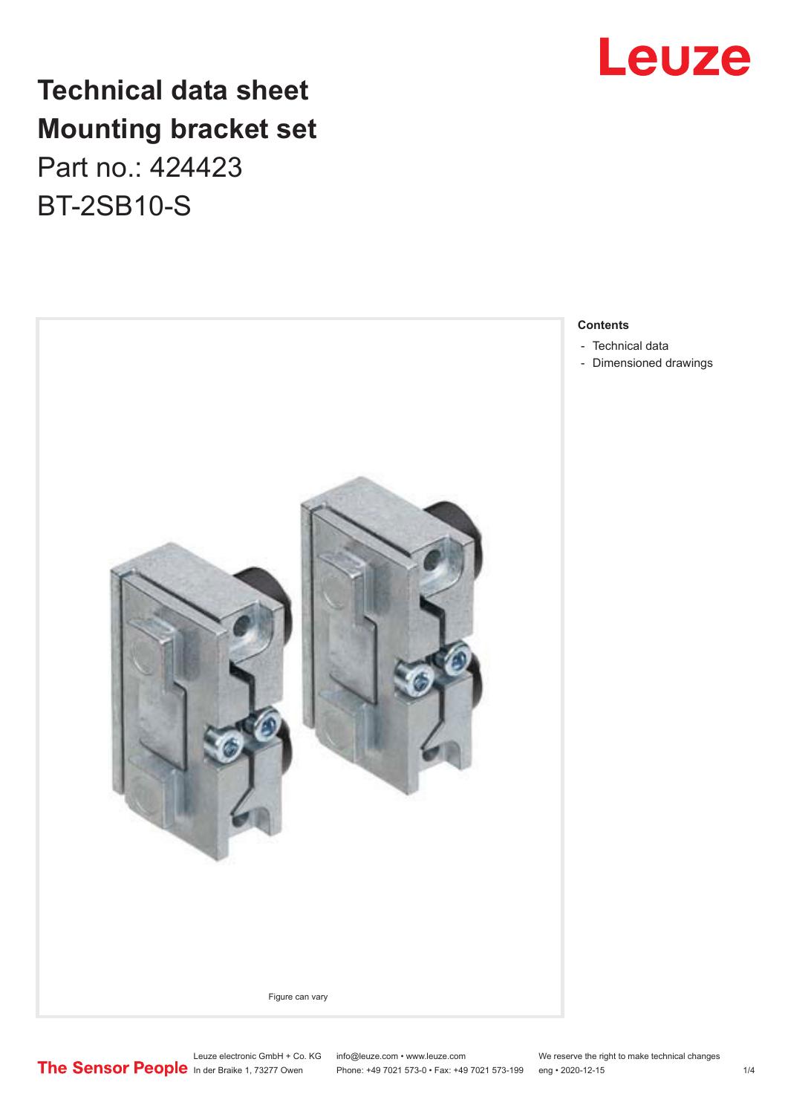

## **Technical data sheet Mounting bracket set**

Part no.: 424423 BT-2SB10-S



#### **Contents**

- [Technical data](#page-1-0)
- [Dimensioned drawings](#page-2-0)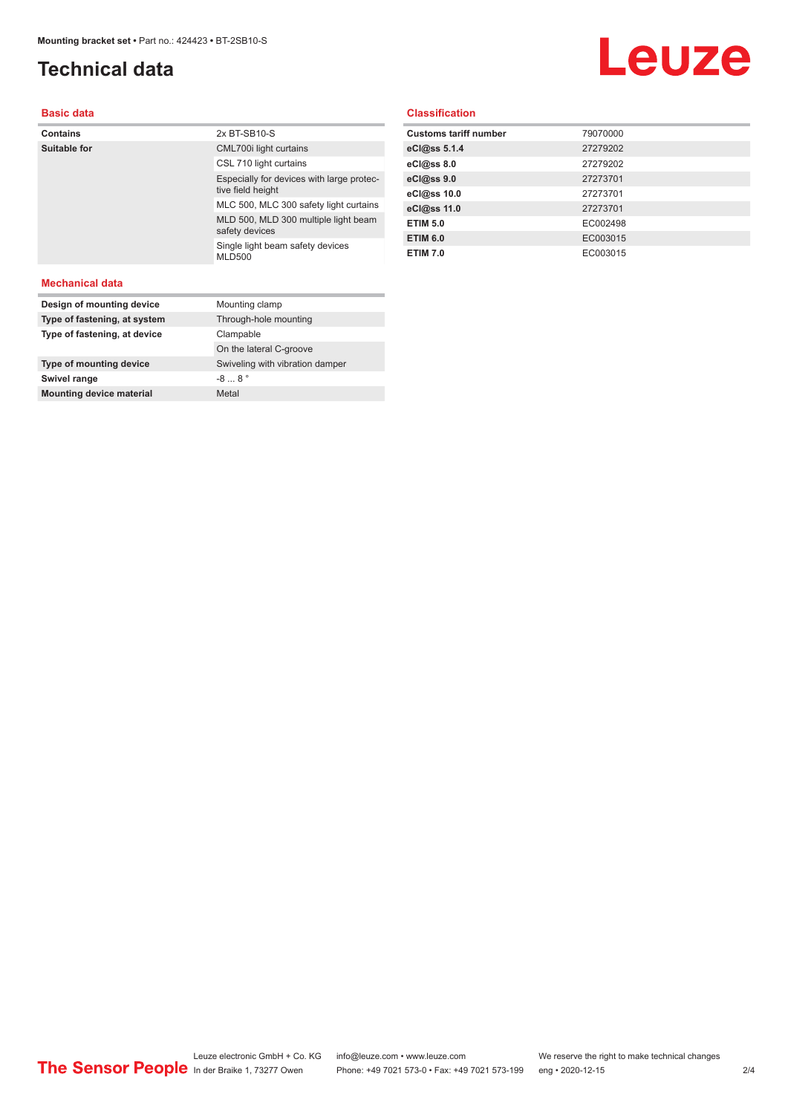### <span id="page-1-0"></span>**Technical data**

# Leuze

#### **Basic data**

| <b>Contains</b> | 2x BT-SB10-S                                                   |
|-----------------|----------------------------------------------------------------|
| Suitable for    | CML700i light curtains                                         |
|                 | CSL 710 light curtains                                         |
|                 | Especially for devices with large protec-<br>tive field height |
|                 | MLC 500, MLC 300 safety light curtains                         |
|                 | MLD 500, MLD 300 multiple light beam<br>safety devices         |
|                 | Single light beam safety devices<br><b>MLD500</b>              |
|                 |                                                                |

#### **Classification**

| <b>Customs tariff number</b> | 79070000 |
|------------------------------|----------|
| eCl@ss 5.1.4                 | 27279202 |
| eCl@ss 8.0                   | 27279202 |
| eCl@ss 9.0                   | 27273701 |
| eCl@ss 10.0                  | 27273701 |
| eCl@ss 11.0                  | 27273701 |
| <b>ETIM 5.0</b>              | EC002498 |
| <b>ETIM 6.0</b>              | EC003015 |
| <b>ETIM 7.0</b>              | EC003015 |

#### **Mechanical data**

| Design of mounting device       | Mounting clamp                  |
|---------------------------------|---------------------------------|
| Type of fastening, at system    | Through-hole mounting           |
| Type of fastening, at device    | Clampable                       |
|                                 | On the lateral C-groove         |
| Type of mounting device         | Swiveling with vibration damper |
| Swivel range                    | $-88$                           |
| <b>Mounting device material</b> | Metal                           |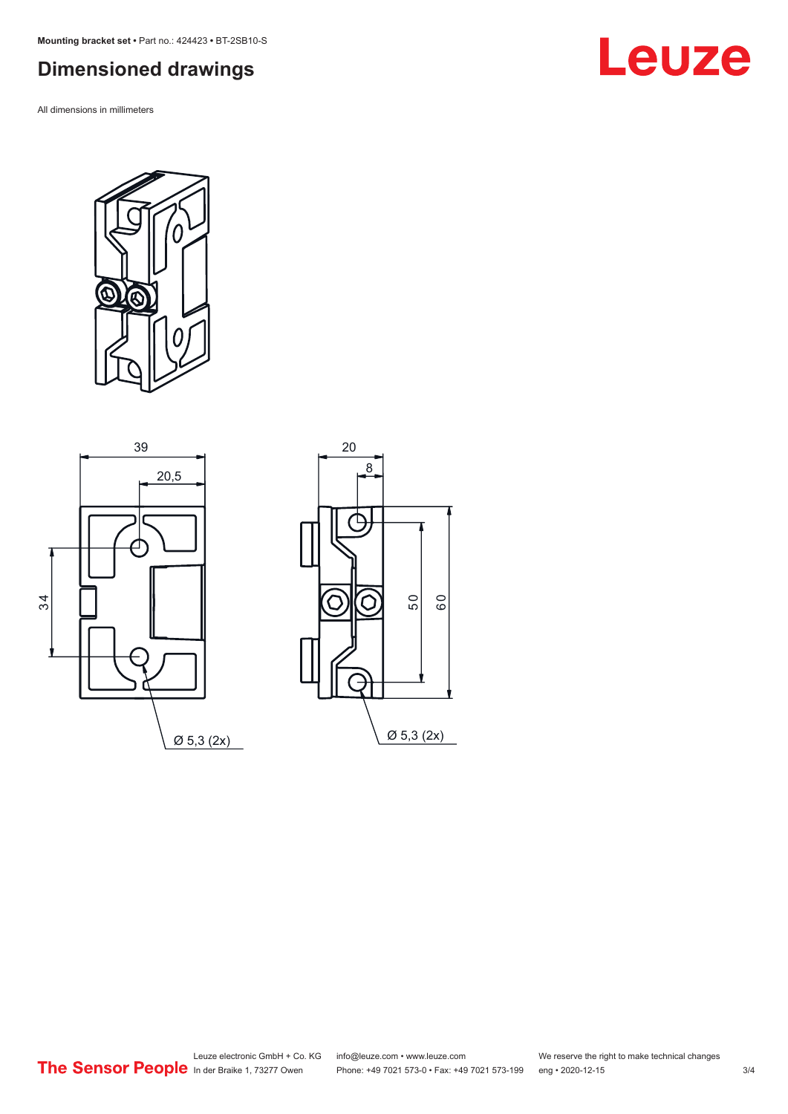<span id="page-2-0"></span>**Mounting bracket set •** Part no.: 424423 **•** BT-2SB10-S

## **Dimensioned drawings**

All dimensions in millimeters

**Leuze**